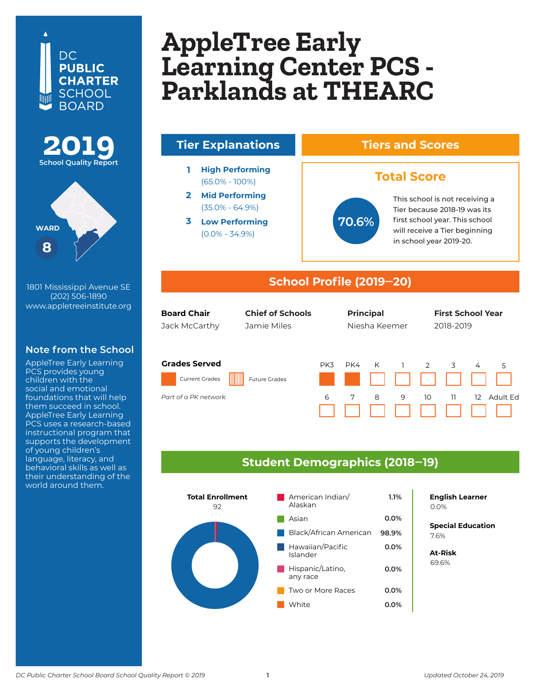## DC. **PUBLIC CHARTER SCHOOL BOARD**



1801 Mississippi Avenue SE (202) 506-1890 www.appletreeinstitute.org

#### **Note from the School**

AppleTree Early Learning PCS provides young children with the social and emotional foundations that will help them succeed in school. AppleTree Early Learning PCS uses a research-based instructional program that supports the development of young children's language, literacy, and behavioral skills as well as their understanding of the world around them.

## **AppleTree Early Learning Center Columbia Heights Parklands at THEARC AppleTree Early Learning Center PCS -**



#### **Student Demographics (2018‒19)**

6 7 8 9



*Part of the K-12 DCI network Part of a PK network.*

**English Learner**

**Special Education** 6.2% 7.6%

10 11 12 Adult Ed

**At-Risk** 37.0% 69.6%